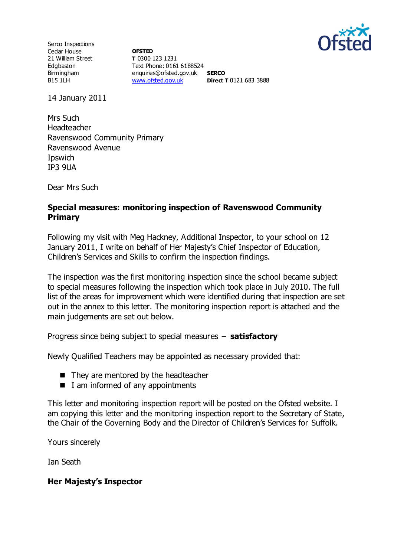

Serco Inspections Cedar House 21 William Street Edgbaston Birmingham B15 1LH

**OFSTED T** 0300 123 1231 Text Phone: 0161 6188524 enquiries@ofsted.gov.uk **SERCO** [www.ofsted.gov.uk](http://www.ofsted.gov.uk/) **Direct T** 0121 683 3888

14 January 2011

Mrs Such Headteacher Ravenswood Community Primary Ravenswood Avenue Ipswich IP3 9UA

Dear Mrs Such

### **Special measures: monitoring inspection of Ravenswood Community Primary**

Following my visit with Meg Hackney, Additional Inspector, to your school on 12 January 2011, I write on behalf of Her Majesty's Chief Inspector of Education, Children's Services and Skills to confirm the inspection findings.

The inspection was the first monitoring inspection since the school became subject to special measures following the inspection which took place in July 2010. The full list of the areas for improvement which were identified during that inspection are set out in the annex to this letter. The monitoring inspection report is attached and the main judgements are set out below.

Progress since being subject to special measures – **satisfactory**

Newly Qualified Teachers may be appointed as necessary provided that:

- They are mentored by the headteacher
- $\blacksquare$  I am informed of any appointments

This letter and monitoring inspection report will be posted on the Ofsted website. I am copying this letter and the monitoring inspection report to the Secretary of State, the Chair of the Governing Body and the Director of Children's Services for Suffolk.

Yours sincerely

Ian Seath

### **Her Majesty's Inspector**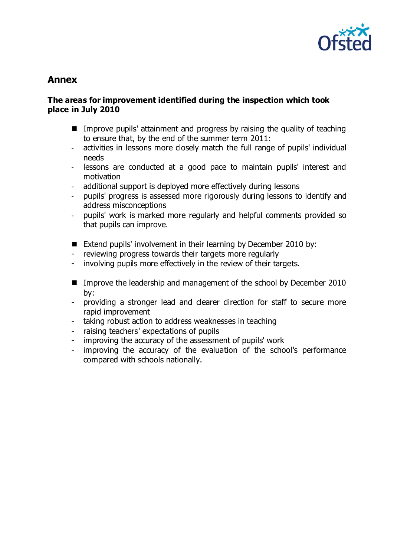

# **Annex**

#### **The areas for improvement identified during the inspection which took place in July 2010**

- Improve pupils' attainment and progress by raising the quality of teaching to ensure that, by the end of the summer term 2011:
- activities in lessons more closely match the full range of pupils' individual needs
- lessons are conducted at a good pace to maintain pupils' interest and motivation
- additional support is deployed more effectively during lessons
- pupils' progress is assessed more rigorously during lessons to identify and address misconceptions
- pupils' work is marked more regularly and helpful comments provided so that pupils can improve.
- Extend pupils' involvement in their learning by December 2010 by:
- reviewing progress towards their targets more regularly
- involving pupils more effectively in the review of their targets.
- Improve the leadership and management of the school by December 2010 by:
- providing a stronger lead and clearer direction for staff to secure more rapid improvement
- taking robust action to address weaknesses in teaching
- raising teachers' expectations of pupils
- improving the accuracy of the assessment of pupils' work
- improving the accuracy of the evaluation of the school's performance compared with schools nationally.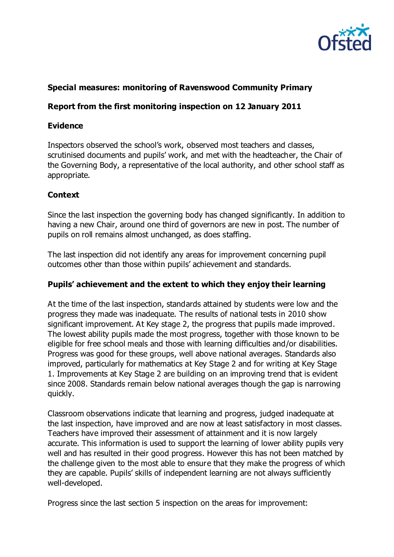

# **Special measures: monitoring of Ravenswood Community Primary**

### **Report from the first monitoring inspection on 12 January 2011**

#### **Evidence**

Inspectors observed the school's work, observed most teachers and classes, scrutinised documents and pupils' work, and met with the headteacher, the Chair of the Governing Body, a representative of the local authority, and other school staff as appropriate.

### **Context**

Since the last inspection the governing body has changed significantly. In addition to having a new Chair, around one third of governors are new in post. The number of pupils on roll remains almost unchanged, as does staffing.

The last inspection did not identify any areas for improvement concerning pupil outcomes other than those within pupils' achievement and standards.

### **Pupils' achievement and the extent to which they enjoy their learning**

At the time of the last inspection, standards attained by students were low and the progress they made was inadequate. The results of national tests in 2010 show significant improvement. At Key stage 2, the progress that pupils made improved. The lowest ability pupils made the most progress, together with those known to be eligible for free school meals and those with learning difficulties and/or disabilities. Progress was good for these groups, well above national averages. Standards also improved, particularly for mathematics at Key Stage 2 and for writing at Key Stage 1. Improvements at Key Stage 2 are building on an improving trend that is evident since 2008. Standards remain below national averages though the gap is narrowing quickly.

Classroom observations indicate that learning and progress, judged inadequate at the last inspection, have improved and are now at least satisfactory in most classes. Teachers have improved their assessment of attainment and it is now largely accurate. This information is used to support the learning of lower ability pupils very well and has resulted in their good progress. However this has not been matched by the challenge given to the most able to ensure that they make the progress of which they are capable. Pupils' skills of independent learning are not always sufficiently well-developed.

Progress since the last section 5 inspection on the areas for improvement: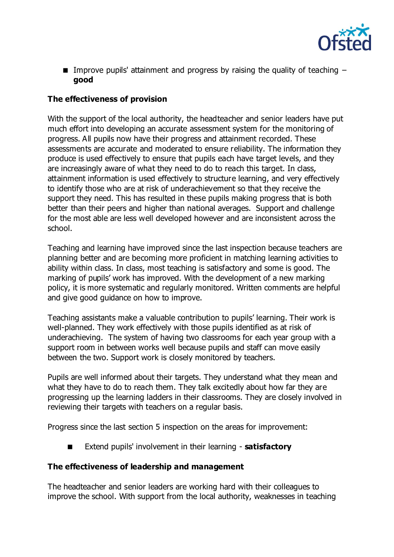

**Improve pupils' attainment and progress by raising the quality of teaching**  $$ **good** 

# **The effectiveness of provision**

With the support of the local authority, the headteacher and senior leaders have put much effort into developing an accurate assessment system for the monitoring of progress. All pupils now have their progress and attainment recorded. These assessments are accurate and moderated to ensure reliability. The information they produce is used effectively to ensure that pupils each have target levels, and they are increasingly aware of what they need to do to reach this target. In class, attainment information is used effectively to structure learning, and very effectively to identify those who are at risk of underachievement so that they receive the support they need. This has resulted in these pupils making progress that is both better than their peers and higher than national averages. Support and challenge for the most able are less well developed however and are inconsistent across the school.

Teaching and learning have improved since the last inspection because teachers are planning better and are becoming more proficient in matching learning activities to ability within class. In class, most teaching is satisfactory and some is good. The marking of pupils' work has improved. With the development of a new marking policy, it is more systematic and regularly monitored. Written comments are helpful and give good guidance on how to improve.

Teaching assistants make a valuable contribution to pupils' learning. Their work is well-planned. They work effectively with those pupils identified as at risk of underachieving. The system of having two classrooms for each year group with a support room in between works well because pupils and staff can move easily between the two. Support work is closely monitored by teachers.

Pupils are well informed about their targets. They understand what they mean and what they have to do to reach them. They talk excitedly about how far they are progressing up the learning ladders in their classrooms. They are closely involved in reviewing their targets with teachers on a regular basis.

Progress since the last section 5 inspection on the areas for improvement:

Extend pupils' involvement in their learning - **satisfactory**

# **The effectiveness of leadership and management**

The headteacher and senior leaders are working hard with their colleagues to improve the school. With support from the local authority, weaknesses in teaching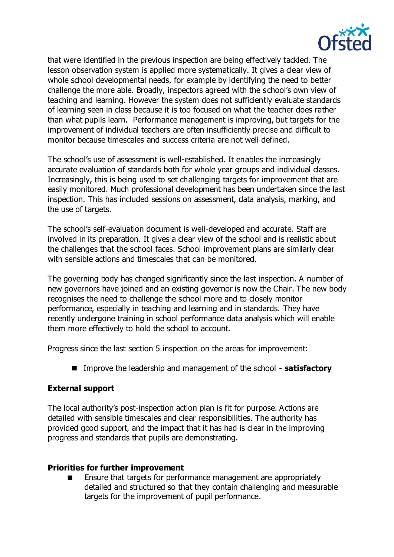

that were identified in the previous inspection are being effectively tackled. The lesson observation system is applied more systematically. It gives a clear view of whole school developmental needs, for example by identifying the need to better challenge the more able. Broadly, inspectors agreed with the school's own view of teaching and learning. However the system does not sufficiently evaluate standards of learning seen in class because it is too focused on what the teacher does rather than what pupils learn. Performance management is improving, but targets for the improvement of individual teachers are often insufficiently precise and difficult to monitor because timescales and success criteria are not well defined.

The school's use of assessment is well-established. It enables the increasingly accurate evaluation of standards both for whole year groups and individual classes. Increasingly, this is being used to set challenging targets for improvement that are easily monitored. Much professional development has been undertaken since the last inspection. This has included sessions on assessment, data analysis, marking, and the use of targets.

The school's self-evaluation document is well-developed and accurate. Staff are involved in its preparation. It gives a clear view of the school and is realistic about the challenges that the school faces. School improvement plans are similarly clear with sensible actions and timescales that can be monitored.

The governing body has changed significantly since the last inspection. A number of new governors have joined and an existing governor is now the Chair. The new body recognises the need to challenge the school more and to closely monitor performance, especially in teaching and learning and in standards. They have recently undergone training in school performance data analysis which will enable them more effectively to hold the school to account.

Progress since the last section 5 inspection on the areas for improvement:

■ Improve the leadership and management of the school - **satisfactory** 

# **External support**

The local authority's post-inspection action plan is fit for purpose. Actions are detailed with sensible timescales and clear responsibilities. The authority has provided good support, and the impact that it has had is clear in the improving progress and standards that pupils are demonstrating.

### **Priorities for further improvement**

 Ensure that targets for performance management are appropriately detailed and structured so that they contain challenging and measurable targets for the improvement of pupil performance.